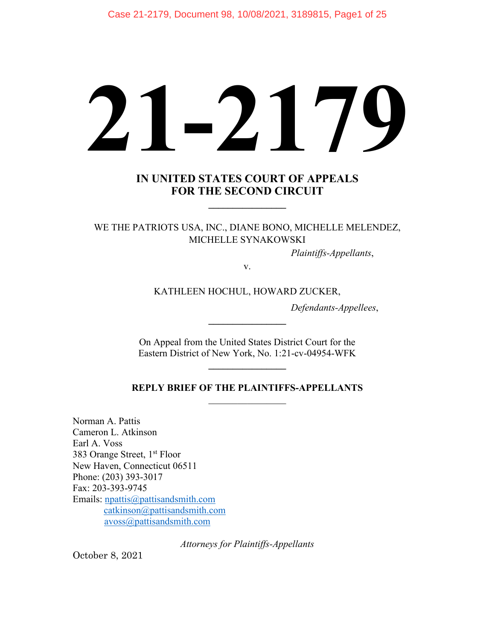# **21-2179**

### **IN UNITED STATES COURT OF APPEALS FOR THE SECOND CIRCUIT**

**\_\_\_\_\_\_\_\_\_\_\_\_\_\_\_\_**

WE THE PATRIOTS USA, INC., DIANE BONO, MICHELLE MELENDEZ, MICHELLE SYNAKOWSKI

*Plaintiffs-Appellants*,

v.

KATHLEEN HOCHUL, HOWARD ZUCKER,

*Defendants-Appellees*,

On Appeal from the United States District Court for the Eastern District of New York, No. 1:21-cv-04954-WFK

**\_\_\_\_\_\_\_\_\_\_\_\_\_\_\_\_**

**\_\_\_\_\_\_\_\_\_\_\_\_\_\_\_\_**

#### **REPLY BRIEF OF THE PLAINTIFFS-APPELLANTS**  $\mathcal{L}_\text{max}$  . The set of the set of the set of the set of the set of the set of the set of the set of the set of the set of the set of the set of the set of the set of the set of the set of the set of the set of the set

Norman A. Pattis Cameron L. Atkinson Earl A. Voss 383 Orange Street, 1<sup>st</sup> Floor New Haven, Connecticut 06511 Phone: (203) 393-3017 Fax: 203-393-9745 Emails: [npattis@pattisandsmith.com](mailto:npattis@pattisandsmith.com)  [catkinson@pattisandsmith.com](mailto:catkinson@pattisandsmith.com) [avoss@pattisandsmith.com](mailto:avoss@pattisandsmith.com)

*Attorneys for Plaintiffs-Appellants*

October 8, 2021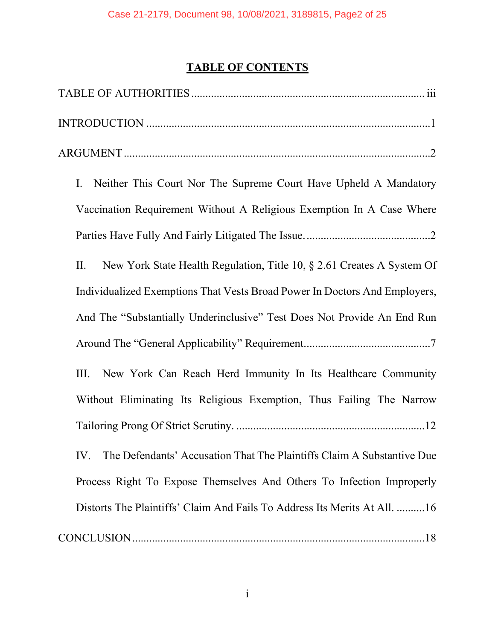# **TABLE OF CONTENTS**

| Neither This Court Nor The Supreme Court Have Upheld A Mandatory<br>Ι.        |
|-------------------------------------------------------------------------------|
| Vaccination Requirement Without A Religious Exemption In A Case Where         |
|                                                                               |
| New York State Health Regulation, Title 10, § 2.61 Creates A System Of<br>П.  |
| Individualized Exemptions That Vests Broad Power In Doctors And Employers,    |
| And The "Substantially Underinclusive" Test Does Not Provide An End Run       |
|                                                                               |
| New York Can Reach Herd Immunity In Its Healthcare Community<br>Ш.            |
| Without Eliminating Its Religious Exemption, Thus Failing The Narrow          |
|                                                                               |
| The Defendants' Accusation That The Plaintiffs Claim A Substantive Due<br>IV. |
| Process Right To Expose Themselves And Others To Infection Improperly         |
| Distorts The Plaintiffs' Claim And Fails To Address Its Merits At All. 16     |
|                                                                               |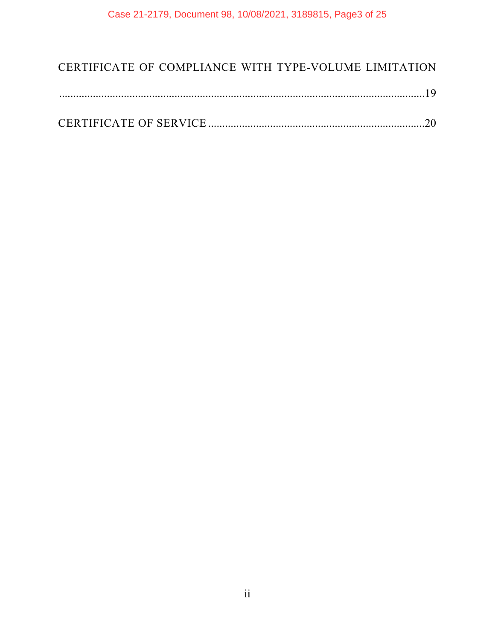## [CERTIFICATE OF COMPLIANCE WITH TYPE-VOLUME LIMITATION](#page-23-0)

|--|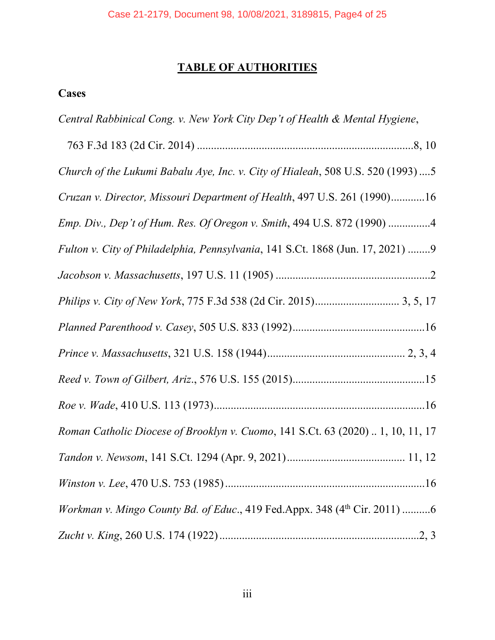## **TABLE OF AUTHORITIES**

## <span id="page-3-0"></span>**Cases**

*Central Rabbinical Cong. v. New York City Dep't of Health & Mental Hygiene*,

| Church of the Lukumi Babalu Aye, Inc. v. City of Hialeah, 508 U.S. 520 (1993)  5 |
|----------------------------------------------------------------------------------|
| Cruzan v. Director, Missouri Department of Health, 497 U.S. 261 (1990)16         |
| Emp. Div., Dep't of Hum. Res. Of Oregon v. Smith, 494 U.S. 872 (1990) 4          |
| Fulton v. City of Philadelphia, Pennsylvania, 141 S.Ct. 1868 (Jun. 17, 2021) 9   |
|                                                                                  |
|                                                                                  |
|                                                                                  |
|                                                                                  |
|                                                                                  |
|                                                                                  |
| Roman Catholic Diocese of Brooklyn v. Cuomo, 141 S.Ct. 63 (2020)  1, 10, 11, 17  |
|                                                                                  |
|                                                                                  |
| Workman v. Mingo County Bd. of Educ., 419 Fed.Appx. 348 (4th Cir. 2011) 6        |
|                                                                                  |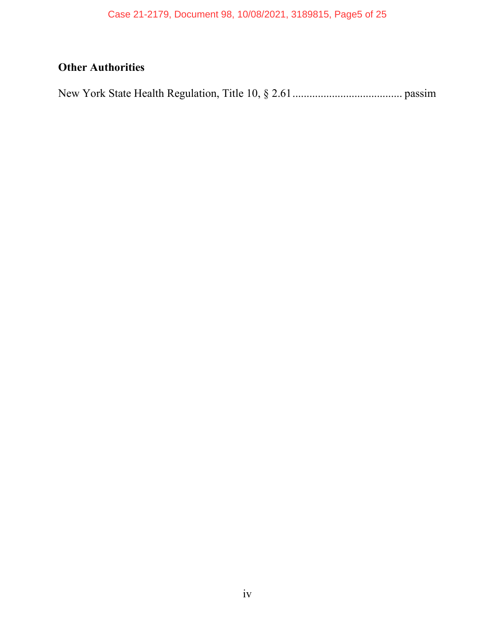# **Other Authorities**

New York State Health Regulation, Title 10, § 2.61....................................... passim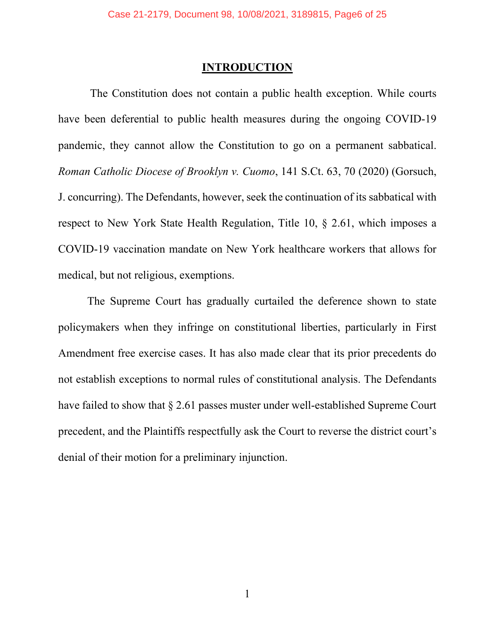#### **INTRODUCTION**

<span id="page-5-0"></span>The Constitution does not contain a public health exception. While courts have been deferential to public health measures during the ongoing COVID-19 pandemic, they cannot allow the Constitution to go on a permanent sabbatical. *Roman Catholic Diocese of Brooklyn v. Cuomo*, 141 S.Ct. 63, 70 (2020) (Gorsuch, J. concurring). The Defendants, however, seek the continuation of its sabbatical with respect to New York State Health Regulation, Title 10, § 2.61, which imposes a COVID-19 vaccination mandate on New York healthcare workers that allows for medical, but not religious, exemptions.

The Supreme Court has gradually curtailed the deference shown to state policymakers when they infringe on constitutional liberties, particularly in First Amendment free exercise cases. It has also made clear that its prior precedents do not establish exceptions to normal rules of constitutional analysis. The Defendants have failed to show that § 2.61 passes muster under well-established Supreme Court precedent, and the Plaintiffs respectfully ask the Court to reverse the district court's denial of their motion for a preliminary injunction.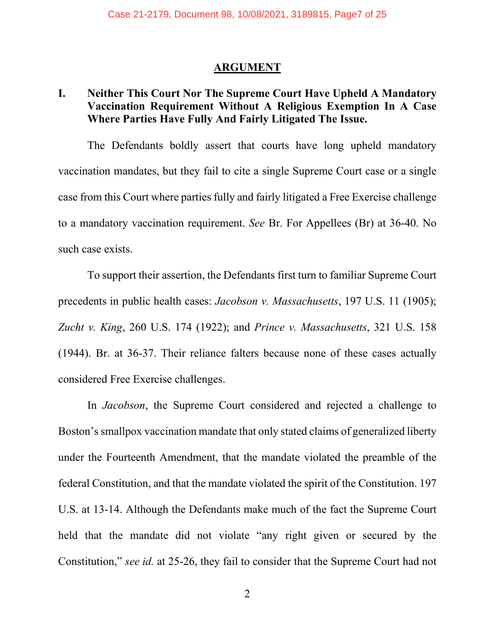#### **ARGUMENT**

## <span id="page-6-1"></span><span id="page-6-0"></span>**I. Neither This Court Nor The Supreme Court Have Upheld A Mandatory Vaccination Requirement Without A Religious Exemption In A Case Where Parties Have Fully And Fairly Litigated The Issue.**

The Defendants boldly assert that courts have long upheld mandatory vaccination mandates, but they fail to cite a single Supreme Court case or a single case from this Court where parties fully and fairly litigated a Free Exercise challenge to a mandatory vaccination requirement. *See* Br. For Appellees (Br) at 36-40. No such case exists.

To support their assertion, the Defendants first turn to familiar Supreme Court precedents in public health cases: *Jacobson v. Massachusetts*, 197 U.S. 11 (1905); *Zucht v. King*, 260 U.S. 174 (1922); and *Prince v. Massachusetts*, 321 U.S. 158 (1944). Br. at 36-37. Their reliance falters because none of these cases actually considered Free Exercise challenges.

In *Jacobson*, the Supreme Court considered and rejected a challenge to Boston's smallpox vaccination mandate that only stated claims of generalized liberty under the Fourteenth Amendment, that the mandate violated the preamble of the federal Constitution, and that the mandate violated the spirit of the Constitution. 197 U.S. at 13-14. Although the Defendants make much of the fact the Supreme Court held that the mandate did not violate "any right given or secured by the Constitution," *see id.* at 25-26, they fail to consider that the Supreme Court had not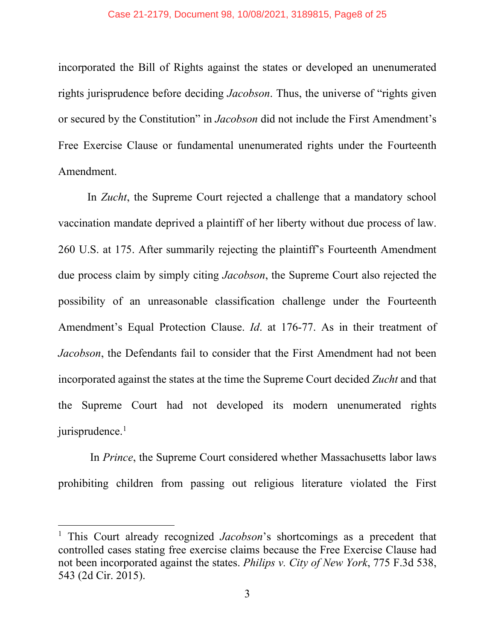incorporated the Bill of Rights against the states or developed an unenumerated rights jurisprudence before deciding *Jacobson*. Thus, the universe of "rights given or secured by the Constitution" in *Jacobson* did not include the First Amendment's Free Exercise Clause or fundamental unenumerated rights under the Fourteenth Amendment.

In *Zucht*, the Supreme Court rejected a challenge that a mandatory school vaccination mandate deprived a plaintiff of her liberty without due process of law. 260 U.S. at 175. After summarily rejecting the plaintiff's Fourteenth Amendment due process claim by simply citing *Jacobson*, the Supreme Court also rejected the possibility of an unreasonable classification challenge under the Fourteenth Amendment's Equal Protection Clause. *Id*. at 176-77. As in their treatment of *Jacobson*, the Defendants fail to consider that the First Amendment had not been incorporated against the states at the time the Supreme Court decided *Zucht* and that the Supreme Court had not developed its modern unenumerated rights jurisprudence.<sup>[1](#page-7-0)</sup>

In *Prince*, the Supreme Court considered whether Massachusetts labor laws prohibiting children from passing out religious literature violated the First

<span id="page-7-0"></span><sup>1</sup> This Court already recognized *Jacobson*'s shortcomings as a precedent that controlled cases stating free exercise claims because the Free Exercise Clause had not been incorporated against the states. *Philips v. City of New York*, 775 F.3d 538, 543 (2d Cir. 2015).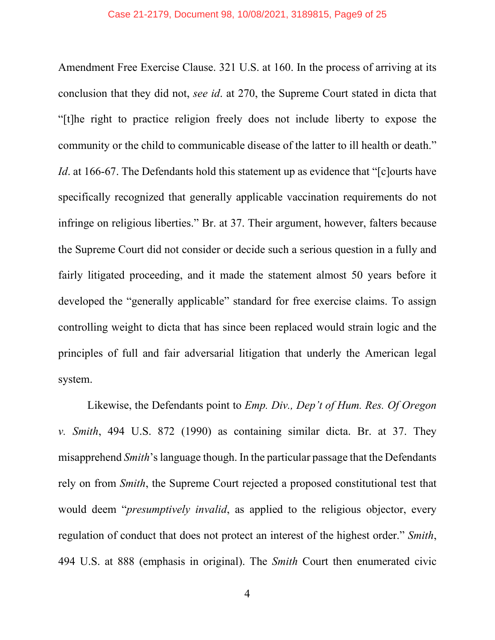Amendment Free Exercise Clause. 321 U.S. at 160. In the process of arriving at its conclusion that they did not, *see id*. at 270, the Supreme Court stated in dicta that "[t]he right to practice religion freely does not include liberty to expose the community or the child to communicable disease of the latter to ill health or death." *Id*. at 166-67. The Defendants hold this statement up as evidence that "[c]ourts have specifically recognized that generally applicable vaccination requirements do not infringe on religious liberties." Br. at 37. Their argument, however, falters because the Supreme Court did not consider or decide such a serious question in a fully and fairly litigated proceeding, and it made the statement almost 50 years before it developed the "generally applicable" standard for free exercise claims. To assign controlling weight to dicta that has since been replaced would strain logic and the principles of full and fair adversarial litigation that underly the American legal system.

Likewise, the Defendants point to *Emp. Div., Dep't of Hum. Res. Of Oregon v. Smith*, 494 U.S. 872 (1990) as containing similar dicta. Br. at 37. They misapprehend *Smith*'s language though. In the particular passage that the Defendants rely on from *Smith*, the Supreme Court rejected a proposed constitutional test that would deem "*presumptively invalid*, as applied to the religious objector, every regulation of conduct that does not protect an interest of the highest order." *Smith*, 494 U.S. at 888 (emphasis in original). The *Smith* Court then enumerated civic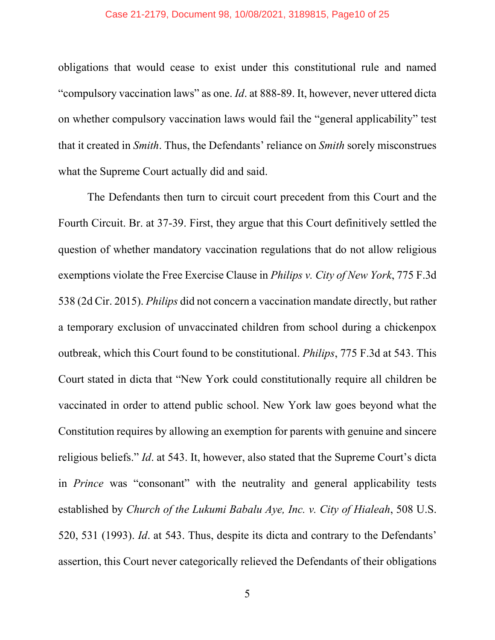obligations that would cease to exist under this constitutional rule and named "compulsory vaccination laws" as one. *Id*. at 888-89. It, however, never uttered dicta on whether compulsory vaccination laws would fail the "general applicability" test that it created in *Smith*. Thus, the Defendants' reliance on *Smith* sorely misconstrues what the Supreme Court actually did and said.

The Defendants then turn to circuit court precedent from this Court and the Fourth Circuit. Br. at 37-39. First, they argue that this Court definitively settled the question of whether mandatory vaccination regulations that do not allow religious exemptions violate the Free Exercise Clause in *Philips v. City of New York*, 775 F.3d 538 (2d Cir. 2015). *Philips* did not concern a vaccination mandate directly, but rather a temporary exclusion of unvaccinated children from school during a chickenpox outbreak, which this Court found to be constitutional. *Philips*, 775 F.3d at 543. This Court stated in dicta that "New York could constitutionally require all children be vaccinated in order to attend public school. New York law goes beyond what the Constitution requires by allowing an exemption for parents with genuine and sincere religious beliefs." *Id*. at 543. It, however, also stated that the Supreme Court's dicta in *Prince* was "consonant" with the neutrality and general applicability tests established by *Church of the Lukumi Babalu Aye, Inc. v. City of Hialeah*, 508 U.S. 520, 531 (1993). *Id*. at 543. Thus, despite its dicta and contrary to the Defendants' assertion, this Court never categorically relieved the Defendants of their obligations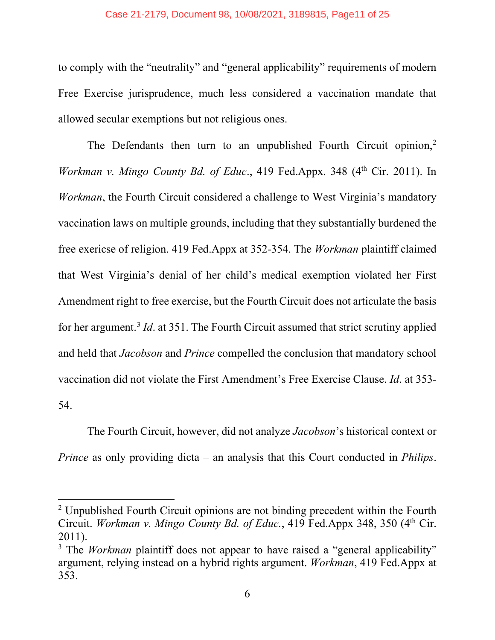#### Case 21-2179, Document 98, 10/08/2021, 3189815, Page11 of 25

to comply with the "neutrality" and "general applicability" requirements of modern Free Exercise jurisprudence, much less considered a vaccination mandate that allowed secular exemptions but not religious ones.

The Defendants then turn to an unpublished Fourth Circuit opinion,<sup>[2](#page-10-0)</sup> *Workman v. Mingo County Bd. of Educ.*, 419 Fed.Appx. 348 (4<sup>th</sup> Cir. 2011). In *Workman*, the Fourth Circuit considered a challenge to West Virginia's mandatory vaccination laws on multiple grounds, including that they substantially burdened the free exericse of religion. 419 Fed.Appx at 352-354. The *Workman* plaintiff claimed that West Virginia's denial of her child's medical exemption violated her First Amendment right to free exercise, but the Fourth Circuit does not articulate the basis for her argument.<sup>[3](#page-10-1)</sup> *Id*. at 351. The Fourth Circuit assumed that strict scrutiny applied and held that *Jacobson* and *Prince* compelled the conclusion that mandatory school vaccination did not violate the First Amendment's Free Exercise Clause. *Id*. at 353- 54.

The Fourth Circuit, however, did not analyze *Jacobson*'s historical context or *Prince* as only providing dicta – an analysis that this Court conducted in *Philips*.

<span id="page-10-0"></span><sup>&</sup>lt;sup>2</sup> Unpublished Fourth Circuit opinions are not binding precedent within the Fourth Circuit. *Workman v. Mingo County Bd. of Educ.*, 419 Fed.Appx 348, 350 (4th Cir. 2011). 3 The *Workman* plaintiff does not appear to have raised a "general applicability"

<span id="page-10-1"></span>argument, relying instead on a hybrid rights argument. *Workman*, 419 Fed.Appx at 353.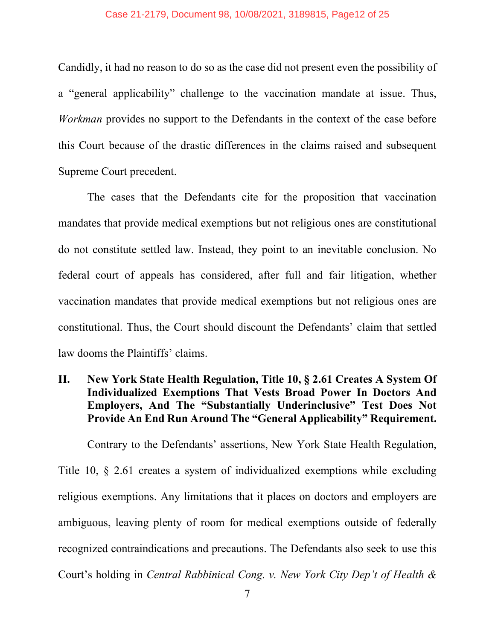Candidly, it had no reason to do so as the case did not present even the possibility of a "general applicability" challenge to the vaccination mandate at issue. Thus, *Workman* provides no support to the Defendants in the context of the case before this Court because of the drastic differences in the claims raised and subsequent Supreme Court precedent.

The cases that the Defendants cite for the proposition that vaccination mandates that provide medical exemptions but not religious ones are constitutional do not constitute settled law. Instead, they point to an inevitable conclusion. No federal court of appeals has considered, after full and fair litigation, whether vaccination mandates that provide medical exemptions but not religious ones are constitutional. Thus, the Court should discount the Defendants' claim that settled law dooms the Plaintiffs' claims.

## <span id="page-11-0"></span>**II. New York State Health Regulation, Title 10, § 2.61 Creates A System Of Individualized Exemptions That Vests Broad Power In Doctors And Employers, And The "Substantially Underinclusive" Test Does Not Provide An End Run Around The "General Applicability" Requirement.**

Contrary to the Defendants' assertions, New York State Health Regulation, Title 10, § 2.61 creates a system of individualized exemptions while excluding religious exemptions. Any limitations that it places on doctors and employers are ambiguous, leaving plenty of room for medical exemptions outside of federally recognized contraindications and precautions. The Defendants also seek to use this Court's holding in *Central Rabbinical Cong. v. New York City Dep't of Health &*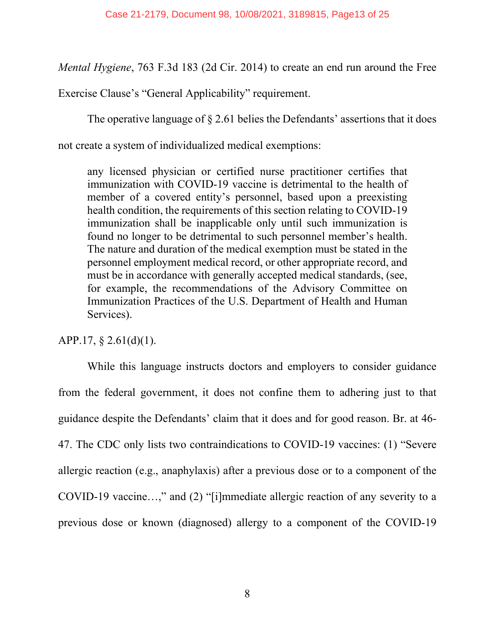*Mental Hygiene*, 763 F.3d 183 (2d Cir. 2014) to create an end run around the Free

Exercise Clause's "General Applicability" requirement.

The operative language of § 2.61 belies the Defendants' assertions that it does

not create a system of individualized medical exemptions:

any licensed physician or certified nurse practitioner certifies that immunization with COVID-19 vaccine is detrimental to the health of member of a covered entity's personnel, based upon a preexisting health condition, the requirements of this section relating to COVID-19 immunization shall be inapplicable only until such immunization is found no longer to be detrimental to such personnel member's health. The nature and duration of the medical exemption must be stated in the personnel employment medical record, or other appropriate record, and must be in accordance with generally accepted medical standards, (see, for example, the recommendations of the Advisory Committee on Immunization Practices of the U.S. Department of Health and Human Services).

## APP.17,  $\S$  2.61(d)(1).

While this language instructs doctors and employers to consider guidance from the federal government, it does not confine them to adhering just to that guidance despite the Defendants' claim that it does and for good reason. Br. at 46- 47. The CDC only lists two contraindications to COVID-19 vaccines: (1) "Severe allergic reaction (e.g., anaphylaxis) after a previous dose or to a component of the COVID-19 vaccine…," and (2) "[i]mmediate allergic reaction of any severity to a previous dose or known (diagnosed) allergy to a component of the COVID-19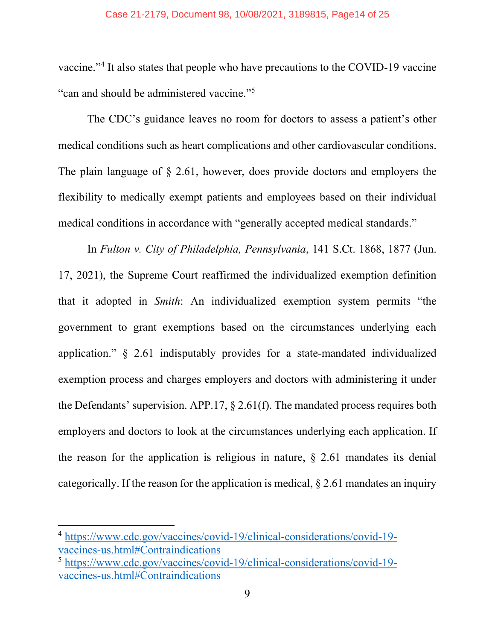vaccine."[4](#page-13-0) It also states that people who have precautions to the COVID-19 vaccine "can and should be administered vaccine."<sup>[5](#page-13-1)</sup>

The CDC's guidance leaves no room for doctors to assess a patient's other medical conditions such as heart complications and other cardiovascular conditions. The plain language of § 2.61, however, does provide doctors and employers the flexibility to medically exempt patients and employees based on their individual medical conditions in accordance with "generally accepted medical standards."

In *Fulton v. City of Philadelphia, Pennsylvania*, 141 S.Ct. 1868, 1877 (Jun. 17, 2021), the Supreme Court reaffirmed the individualized exemption definition that it adopted in *Smith*: An individualized exemption system permits "the government to grant exemptions based on the circumstances underlying each application." § 2.61 indisputably provides for a state-mandated individualized exemption process and charges employers and doctors with administering it under the Defendants' supervision. APP.17,  $\S$  2.61(f). The mandated process requires both employers and doctors to look at the circumstances underlying each application. If the reason for the application is religious in nature,  $\S$  2.61 mandates its denial categorically. If the reason for the application is medical, § 2.61 mandates an inquiry

<span id="page-13-0"></span><sup>4</sup> [https://www.cdc.gov/vaccines/covid-19/clinical-considerations/covid-19](https://www.cdc.gov/vaccines/covid-19/clinical-considerations/covid-19-vaccines-us.html#Contraindications) [vaccines-us.html#Contraindications](https://www.cdc.gov/vaccines/covid-19/clinical-considerations/covid-19-vaccines-us.html#Contraindications)

<span id="page-13-1"></span><sup>5</sup> [https://www.cdc.gov/vaccines/covid-19/clinical-considerations/covid-19](https://www.cdc.gov/vaccines/covid-19/clinical-considerations/covid-19-vaccines-us.html#Contraindications) [vaccines-us.html#Contraindications](https://www.cdc.gov/vaccines/covid-19/clinical-considerations/covid-19-vaccines-us.html#Contraindications)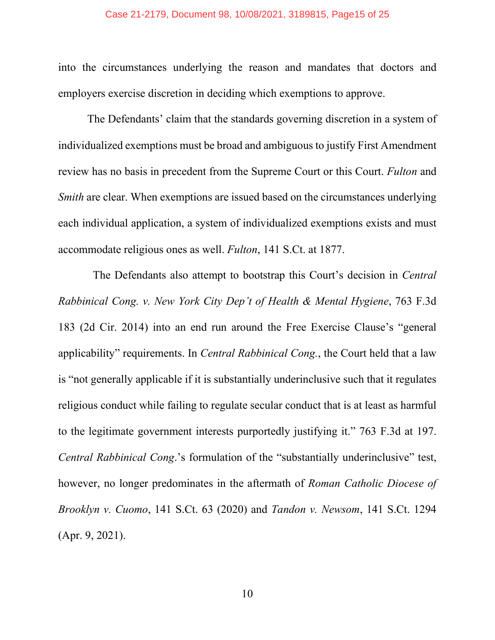into the circumstances underlying the reason and mandates that doctors and employers exercise discretion in deciding which exemptions to approve.

The Defendants' claim that the standards governing discretion in a system of individualized exemptions must be broad and ambiguous to justify First Amendment review has no basis in precedent from the Supreme Court or this Court. *Fulton* and *Smith* are clear. When exemptions are issued based on the circumstances underlying each individual application, a system of individualized exemptions exists and must accommodate religious ones as well. *Fulton*, 141 S.Ct. at 1877.

The Defendants also attempt to bootstrap this Court's decision in *Central Rabbinical Cong. v. New York City Dep't of Health & Mental Hygiene*, 763 F.3d 183 (2d Cir. 2014) into an end run around the Free Exercise Clause's "general applicability" requirements. In *Central Rabbinical Cong.*, the Court held that a law is "not generally applicable if it is substantially underinclusive such that it regulates religious conduct while failing to regulate secular conduct that is at least as harmful to the legitimate government interests purportedly justifying it." 763 F.3d at 197. *Central Rabbinical Cong*.'s formulation of the "substantially underinclusive" test, however, no longer predominates in the aftermath of *Roman Catholic Diocese of Brooklyn v. Cuomo*, 141 S.Ct. 63 (2020) and *Tandon v. Newsom*, 141 S.Ct. 1294 (Apr. 9, 2021).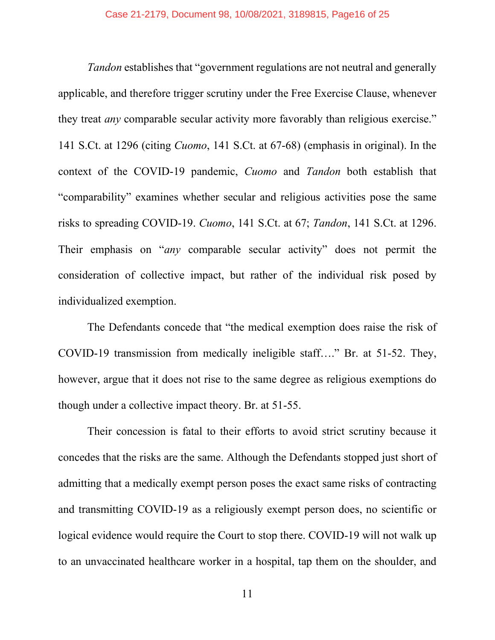*Tandon* establishes that "government regulations are not neutral and generally applicable, and therefore trigger scrutiny under the Free Exercise Clause, whenever they treat *any* comparable secular activity more favorably than religious exercise." 141 S.Ct. at 1296 (citing *Cuomo*, 141 S.Ct. at 67-68) (emphasis in original). In the context of the COVID-19 pandemic, *Cuomo* and *Tandon* both establish that "comparability" examines whether secular and religious activities pose the same risks to spreading COVID-19. *Cuomo*, 141 S.Ct. at 67; *Tandon*, 141 S.Ct. at 1296. Their emphasis on "*any* comparable secular activity" does not permit the consideration of collective impact, but rather of the individual risk posed by individualized exemption.

The Defendants concede that "the medical exemption does raise the risk of COVID-19 transmission from medically ineligible staff…." Br. at 51-52. They, however, argue that it does not rise to the same degree as religious exemptions do though under a collective impact theory. Br. at 51-55.

Their concession is fatal to their efforts to avoid strict scrutiny because it concedes that the risks are the same. Although the Defendants stopped just short of admitting that a medically exempt person poses the exact same risks of contracting and transmitting COVID-19 as a religiously exempt person does, no scientific or logical evidence would require the Court to stop there. COVID-19 will not walk up to an unvaccinated healthcare worker in a hospital, tap them on the shoulder, and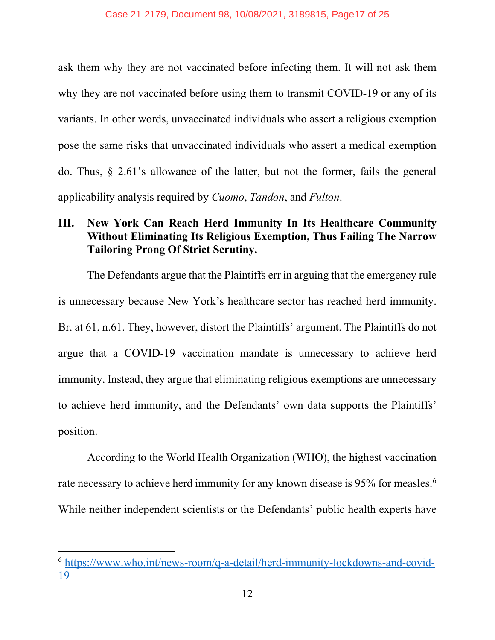ask them why they are not vaccinated before infecting them. It will not ask them why they are not vaccinated before using them to transmit COVID-19 or any of its variants. In other words, unvaccinated individuals who assert a religious exemption pose the same risks that unvaccinated individuals who assert a medical exemption do. Thus, § 2.61's allowance of the latter, but not the former, fails the general applicability analysis required by *Cuomo*, *Tandon*, and *Fulton*.

## <span id="page-16-0"></span>**III. New York Can Reach Herd Immunity In Its Healthcare Community Without Eliminating Its Religious Exemption, Thus Failing The Narrow Tailoring Prong Of Strict Scrutiny.**

The Defendants argue that the Plaintiffs err in arguing that the emergency rule is unnecessary because New York's healthcare sector has reached herd immunity. Br. at 61, n.61. They, however, distort the Plaintiffs' argument. The Plaintiffs do not argue that a COVID-19 vaccination mandate is unnecessary to achieve herd immunity. Instead, they argue that eliminating religious exemptions are unnecessary to achieve herd immunity, and the Defendants' own data supports the Plaintiffs' position.

According to the World Health Organization (WHO), the highest vaccination rate necessary to achieve herd immunity for any known disease is 95% for measles.<sup>6</sup> While neither independent scientists or the Defendants' public health experts have

<span id="page-16-1"></span><sup>6</sup> [https://www.who.int/news-room/q-a-detail/herd-immunity-lockdowns-and-covid-](https://www.who.int/news-room/q-a-detail/herd-immunity-lockdowns-and-covid-19)[19](https://www.who.int/news-room/q-a-detail/herd-immunity-lockdowns-and-covid-19)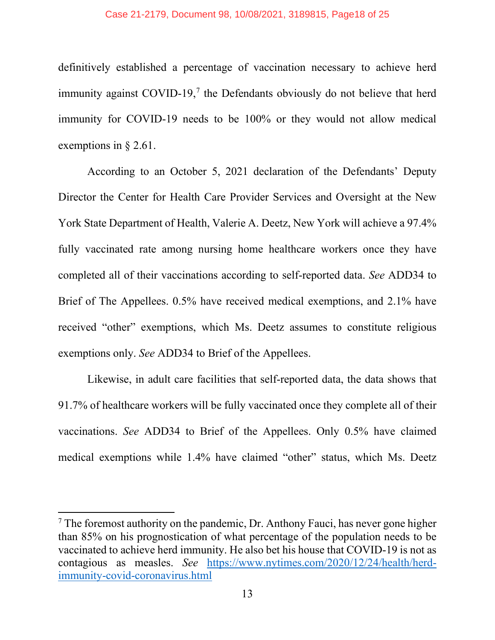definitively established a percentage of vaccination necessary to achieve herd immunity against  $COVID-19<sub>1</sub>$ <sup>[7](#page-17-0)</sup> the Defendants obviously do not believe that herd immunity for COVID-19 needs to be 100% or they would not allow medical exemptions in § 2.61.

According to an October 5, 2021 declaration of the Defendants' Deputy Director the Center for Health Care Provider Services and Oversight at the New York State Department of Health, Valerie A. Deetz, New York will achieve a 97.4% fully vaccinated rate among nursing home healthcare workers once they have completed all of their vaccinations according to self-reported data. *See* ADD34 to Brief of The Appellees. 0.5% have received medical exemptions, and 2.1% have received "other" exemptions, which Ms. Deetz assumes to constitute religious exemptions only. *See* ADD34 to Brief of the Appellees.

Likewise, in adult care facilities that self-reported data, the data shows that 91.7% of healthcare workers will be fully vaccinated once they complete all of their vaccinations. *See* ADD34 to Brief of the Appellees. Only 0.5% have claimed medical exemptions while 1.4% have claimed "other" status, which Ms. Deetz

<span id="page-17-0"></span> $7$  The foremost authority on the pandemic, Dr. Anthony Fauci, has never gone higher than 85% on his prognostication of what percentage of the population needs to be vaccinated to achieve herd immunity. He also bet his house that COVID-19 is not as contagious as measles. *See* [https://www.nytimes.com/2020/12/24/health/herd](https://www.nytimes.com/2020/12/24/health/herd-immunity-covid-coronavirus.html)[immunity-covid-coronavirus.html](https://www.nytimes.com/2020/12/24/health/herd-immunity-covid-coronavirus.html)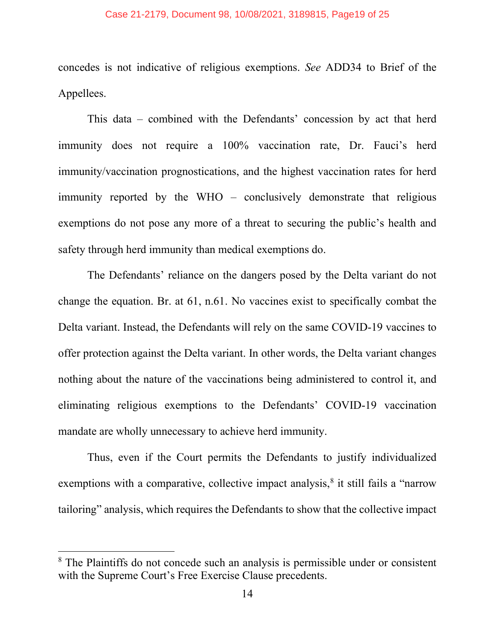#### Case 21-2179, Document 98, 10/08/2021, 3189815, Page19 of 25

concedes is not indicative of religious exemptions. *See* ADD34 to Brief of the Appellees.

This data – combined with the Defendants' concession by act that herd immunity does not require a 100% vaccination rate, Dr. Fauci's herd immunity/vaccination prognostications, and the highest vaccination rates for herd immunity reported by the WHO – conclusively demonstrate that religious exemptions do not pose any more of a threat to securing the public's health and safety through herd immunity than medical exemptions do.

The Defendants' reliance on the dangers posed by the Delta variant do not change the equation. Br. at 61, n.61. No vaccines exist to specifically combat the Delta variant. Instead, the Defendants will rely on the same COVID-19 vaccines to offer protection against the Delta variant. In other words, the Delta variant changes nothing about the nature of the vaccinations being administered to control it, and eliminating religious exemptions to the Defendants' COVID-19 vaccination mandate are wholly unnecessary to achieve herd immunity.

Thus, even if the Court permits the Defendants to justify individualized exemptions with a comparative, collective impact analysis,<sup>[8](#page-18-0)</sup> it still fails a "narrow tailoring" analysis, which requires the Defendants to show that the collective impact

<span id="page-18-0"></span><sup>&</sup>lt;sup>8</sup> The Plaintiffs do not concede such an analysis is permissible under or consistent with the Supreme Court's Free Exercise Clause precedents.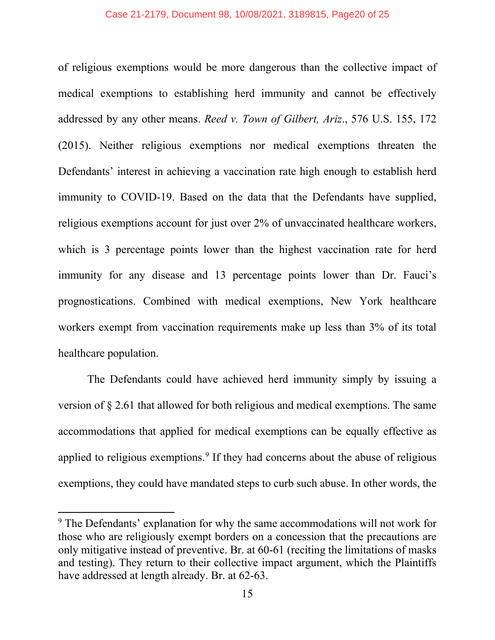of religious exemptions would be more dangerous than the collective impact of medical exemptions to establishing herd immunity and cannot be effectively addressed by any other means. *Reed v. Town of Gilbert, Ariz*., 576 U.S. 155, 172 (2015). Neither religious exemptions nor medical exemptions threaten the Defendants' interest in achieving a vaccination rate high enough to establish herd immunity to COVID-19. Based on the data that the Defendants have supplied, religious exemptions account for just over 2% of unvaccinated healthcare workers, which is 3 percentage points lower than the highest vaccination rate for herd immunity for any disease and 13 percentage points lower than Dr. Fauci's prognostications. Combined with medical exemptions, New York healthcare workers exempt from vaccination requirements make up less than 3% of its total healthcare population.

The Defendants could have achieved herd immunity simply by issuing a version of § 2.61 that allowed for both religious and medical exemptions. The same accommodations that applied for medical exemptions can be equally effective as applied to religious exemptions.<sup>[9](#page-19-0)</sup> If they had concerns about the abuse of religious exemptions, they could have mandated steps to curb such abuse. In other words, the

<span id="page-19-0"></span><sup>&</sup>lt;sup>9</sup> The Defendants' explanation for why the same accommodations will not work for those who are religiously exempt borders on a concession that the precautions are only mitigative instead of preventive. Br. at 60-61 (reciting the limitations of masks and testing). They return to their collective impact argument, which the Plaintiffs have addressed at length already. Br. at 62-63.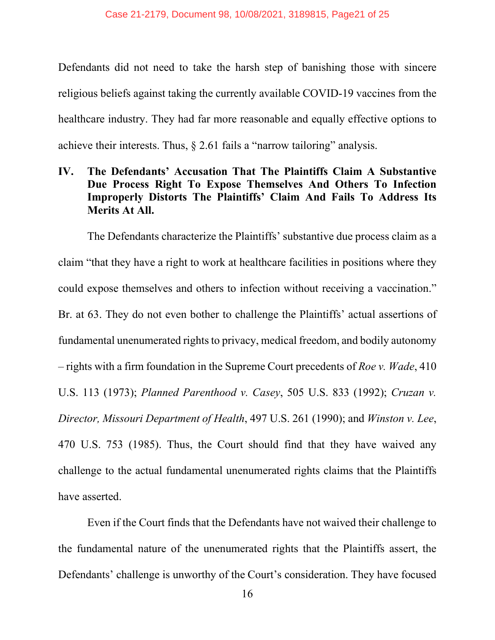Defendants did not need to take the harsh step of banishing those with sincere religious beliefs against taking the currently available COVID-19 vaccines from the healthcare industry. They had far more reasonable and equally effective options to achieve their interests. Thus, § 2.61 fails a "narrow tailoring" analysis.

## <span id="page-20-0"></span>**IV. The Defendants' Accusation That The Plaintiffs Claim A Substantive Due Process Right To Expose Themselves And Others To Infection Improperly Distorts The Plaintiffs' Claim And Fails To Address Its Merits At All.**

The Defendants characterize the Plaintiffs' substantive due process claim as a claim "that they have a right to work at healthcare facilities in positions where they could expose themselves and others to infection without receiving a vaccination." Br. at 63. They do not even bother to challenge the Plaintiffs' actual assertions of fundamental unenumerated rights to privacy, medical freedom, and bodily autonomy – rights with a firm foundation in the Supreme Court precedents of *Roe v. Wade*, 410 U.S. 113 (1973); *Planned Parenthood v. Casey*, 505 U.S. 833 (1992); *Cruzan v. Director, Missouri Department of Health*, 497 U.S. 261 (1990); and *Winston v. Lee*, 470 U.S. 753 (1985). Thus, the Court should find that they have waived any challenge to the actual fundamental unenumerated rights claims that the Plaintiffs have asserted.

Even if the Court finds that the Defendants have not waived their challenge to the fundamental nature of the unenumerated rights that the Plaintiffs assert, the Defendants' challenge is unworthy of the Court's consideration. They have focused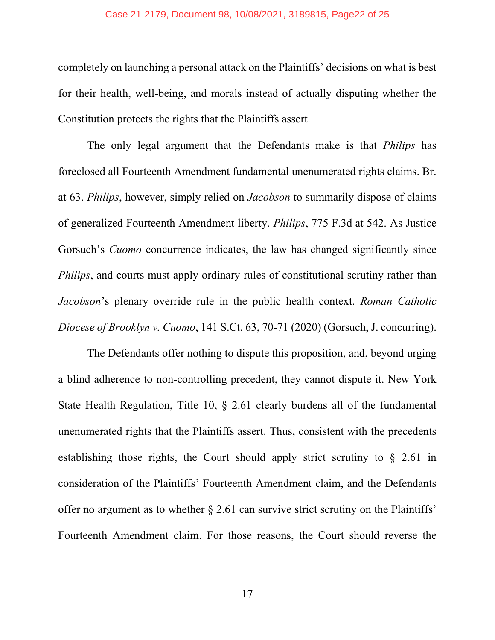#### Case 21-2179, Document 98, 10/08/2021, 3189815, Page22 of 25

completely on launching a personal attack on the Plaintiffs' decisions on what is best for their health, well-being, and morals instead of actually disputing whether the Constitution protects the rights that the Plaintiffs assert.

The only legal argument that the Defendants make is that *Philips* has foreclosed all Fourteenth Amendment fundamental unenumerated rights claims. Br. at 63. *Philips*, however, simply relied on *Jacobson* to summarily dispose of claims of generalized Fourteenth Amendment liberty. *Philips*, 775 F.3d at 542. As Justice Gorsuch's *Cuomo* concurrence indicates, the law has changed significantly since *Philips*, and courts must apply ordinary rules of constitutional scrutiny rather than *Jacobson*'s plenary override rule in the public health context. *Roman Catholic Diocese of Brooklyn v. Cuomo*, 141 S.Ct. 63, 70-71 (2020) (Gorsuch, J. concurring).

The Defendants offer nothing to dispute this proposition, and, beyond urging a blind adherence to non-controlling precedent, they cannot dispute it. New York State Health Regulation, Title 10, § 2.61 clearly burdens all of the fundamental unenumerated rights that the Plaintiffs assert. Thus, consistent with the precedents establishing those rights, the Court should apply strict scrutiny to  $\S$  2.61 in consideration of the Plaintiffs' Fourteenth Amendment claim, and the Defendants offer no argument as to whether § 2.61 can survive strict scrutiny on the Plaintiffs' Fourteenth Amendment claim. For those reasons, the Court should reverse the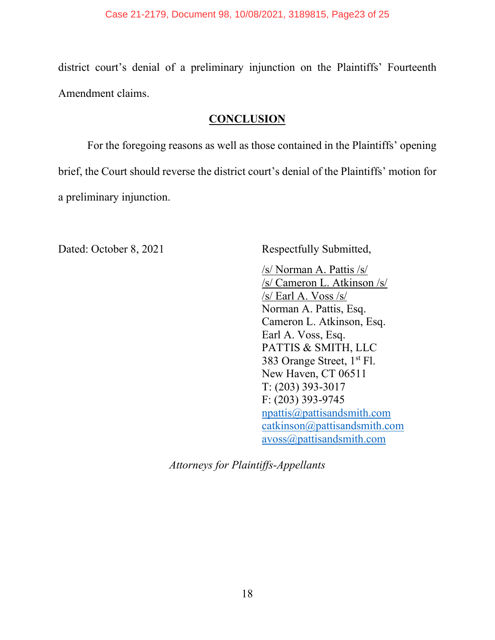district court's denial of a preliminary injunction on the Plaintiffs' Fourteenth Amendment claims.

## **CONCLUSION**

<span id="page-22-0"></span>For the foregoing reasons as well as those contained in the Plaintiffs' opening brief, the Court should reverse the district court's denial of the Plaintiffs' motion for a preliminary injunction.

Dated: October 8, 2021 Respectfully Submitted,

/s/ Norman A. Pattis /s/ /s/ Cameron L. Atkinson /s/ /s/ Earl A. Voss /s/ Norman A. Pattis, Esq. Cameron L. Atkinson, Esq. Earl A. Voss, Esq. PATTIS & SMITH, LLC 383 Orange Street, 1<sup>st</sup> Fl. New Haven, CT 06511 T: (203) 393-3017 F: (203) 393-9745 npattis@pattisandsmith.com catkinson@pattisandsmith.com avoss@pattisandsmith.com

*Attorneys for Plaintiffs-Appellants*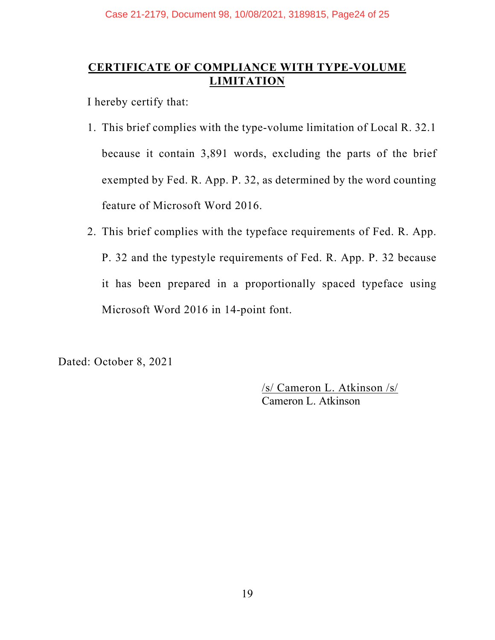## <span id="page-23-0"></span>**CERTIFICATE OF COMPLIANCE WITH TYPE-VOLUME LIMITATION**

I hereby certify that:

- 1. This brief complies with the type-volume limitation of Local R. 32.1 because it contain 3,891 words, excluding the parts of the brief exempted by Fed. R. App. P. 32, as determined by the word counting feature of Microsoft Word 2016.
- 2. This brief complies with the typeface requirements of Fed. R. App. P. 32 and the typestyle requirements of Fed. R. App. P. 32 because it has been prepared in a proportionally spaced typeface using Microsoft Word 2016 in 14-point font.

Dated: October 8, 2021

/s/ Cameron L. Atkinson /s/ Cameron L. Atkinson